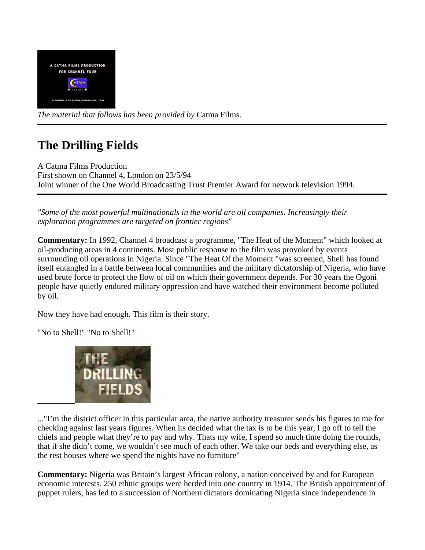

*The material that follows has been provided by* Catma Films.

# **The Drilling Fields**

A Catma Films Production First shown on Channel 4, London on 23/5/94 Joint winner of the One World Broadcasting Trust Premier Award for network television 1994.

*"Some of the most powerful multinationals in the world are oil companies. Increasingly their exploration programmes are targeted on frontier regions"*

**Commentary:** In 1992, Channel 4 broadcast a programme, "The Heat of the Moment" which looked at oil-producing areas in 4 continents. Most public response to the film was provoked by events surrounding oil operations in Nigeria. Since "The Heat Of the Moment "was screened, Shell has found itself entangled in a battle between local communities and the military dictatorship of Nigeria, who have used brute force to protect the flow of oil on which their government depends. For 30 years the Ogoni people have quietly endured military oppression and have watched their environment become polluted by oil.

Now they have had enough. This film is their story.

"No to Shell!" "No to Shell!"



..."I'm the district officer in this particular area, the native authority treasurer sends his figures to me for checking against last years figures. When its decided what the tax is to be this year, I go off to tell the chiefs and people what they're to pay and why. Thats my wife, I spend so much time doing the rounds, that if she didn't come, we wouldn't see much of each other. We take our beds and everything else, as the rest houses where we spend the nights have no furniture"

**Commentary:** Nigeria was Britain's largest African colony, a nation conceived by and for European economic interests. 250 ethnic groups were herded into one country in 1914. The British appointment of puppet rulers, has led to a succession of Northern dictators dominating Nigeria since independence in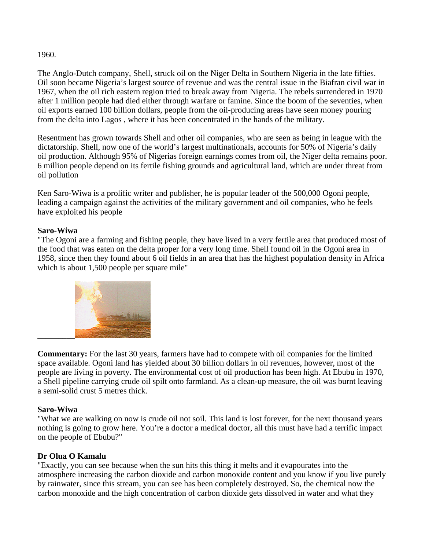#### 1960.

The Anglo-Dutch company, Shell, struck oil on the Niger Delta in Southern Nigeria in the late fifties. Oil soon became Nigeria's largest source of revenue and was the central issue in the Biafran civil war in 1967, when the oil rich eastern region tried to break away from Nigeria. The rebels surrendered in 1970 after 1 million people had died either through warfare or famine. Since the boom of the seventies, when oil exports earned 100 billion dollars, people from the oil-producing areas have seen money pouring from the delta into Lagos , where it has been concentrated in the hands of the military.

Resentment has grown towards Shell and other oil companies, who are seen as being in league with the dictatorship. Shell, now one of the world's largest multinationals, accounts for 50% of Nigeria's daily oil production. Although 95% of Nigerias foreign earnings comes from oil, the Niger delta remains poor. 6 million people depend on its fertile fishing grounds and agricultural land, which are under threat from oil pollution

Ken Saro-Wiwa is a prolific writer and publisher, he is popular leader of the 500,000 Ogoni people, leading a campaign against the activities of the military government and oil companies, who he feels have exploited his people

# **Saro-Wiwa**

"The Ogoni are a farming and fishing people, they have lived in a very fertile area that produced most of the food that was eaten on the delta proper for a very long time. Shell found oil in the Ogoni area in 1958, since then they found about 6 oil fields in an area that has the highest population density in Africa which is about 1,500 people per square mile"



**Commentary:** For the last 30 years, farmers have had to compete with oil companies for the limited space available. Ogoni land has yielded about 30 billion dollars in oil revenues, however, most of the people are living in poverty. The environmental cost of oil production has been high. At Ebubu in 1970, a Shell pipeline carrying crude oil spilt onto farmland. As a clean-up measure, the oil was burnt leaving a semi-solid crust 5 metres thick.

#### **Saro-Wiwa**

"What we are walking on now is crude oil not soil. This land is lost forever, for the next thousand years nothing is going to grow here. You're a doctor a medical doctor, all this must have had a terrific impact on the people of Ebubu?"

# **Dr Olua O Kamalu**

"Exactly, you can see because when the sun hits this thing it melts and it evapourates into the atmosphere increasing the carbon dioxide and carbon monoxide content and you know if you live purely by rainwater, since this stream, you can see has been completely destroyed. So, the chemical now the carbon monoxide and the high concentration of carbon dioxide gets dissolved in water and what they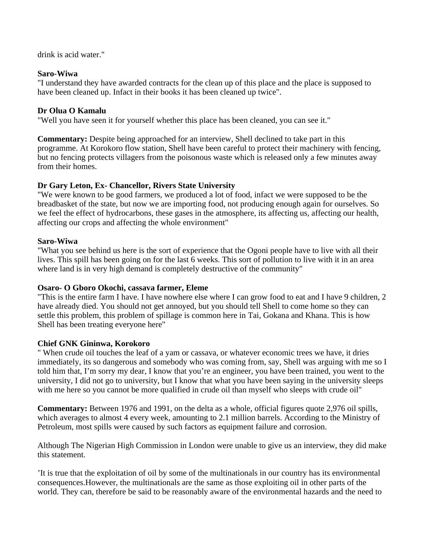drink is acid water."

#### **Saro-Wiwa**

"I understand they have awarded contracts for the clean up of this place and the place is supposed to have been cleaned up. Infact in their books it has been cleaned up twice".

# **Dr Olua O Kamalu**

"Well you have seen it for yourself whether this place has been cleaned, you can see it."

**Commentary:** Despite being approached for an interview, Shell declined to take part in this programme. At Korokoro flow station, Shell have been careful to protect their machinery with fencing, but no fencing protects villagers from the poisonous waste which is released only a few minutes away from their homes.

# **Dr Gary Leton, Ex- Chancellor, Rivers State University**

"We were known to be good farmers, we produced a lot of food, infact we were supposed to be the breadbasket of the state, but now we are importing food, not producing enough again for ourselves. So we feel the effect of hydrocarbons, these gases in the atmosphere, its affecting us, affecting our health, affecting our crops and affecting the whole environment"

#### **Saro-Wiwa**

"What you see behind us here is the sort of experience that the Ogoni people have to live with all their lives. This spill has been going on for the last 6 weeks. This sort of pollution to live with it in an area where land is in very high demand is completely destructive of the community"

#### **Osaro- O Gboro Okochi, cassava farmer, Eleme**

"This is the entire farm I have. I have nowhere else where I can grow food to eat and I have 9 children, 2 have already died. You should not get annoyed, but you should tell Shell to come home so they can settle this problem, this problem of spillage is common here in Tai, Gokana and Khana. This is how Shell has been treating everyone here"

# **Chief GNK Gininwa, Korokoro**

" When crude oil touches the leaf of a yam or cassava, or whatever economic trees we have, it dries immediately, its so dangerous and somebody who was coming from, say, Shell was arguing with me so I told him that, I'm sorry my dear, I know that you're an engineer, you have been trained, you went to the university, I did not go to university, but I know that what you have been saying in the university sleeps with me here so you cannot be more qualified in crude oil than myself who sleeps with crude oil"

**Commentary:** Between 1976 and 1991, on the delta as a whole, official figures quote 2,976 oil spills, which averages to almost 4 every week, amounting to 2.1 million barrels. According to the Ministry of Petroleum, most spills were caused by such factors as equipment failure and corrosion.

Although The Nigerian High Commission in London were unable to give us an interview, they did make this statement.

'It is true that the exploitation of oil by some of the multinationals in our country has its environmental consequences.However, the multinationals are the same as those exploiting oil in other parts of the world. They can, therefore be said to be reasonably aware of the environmental hazards and the need to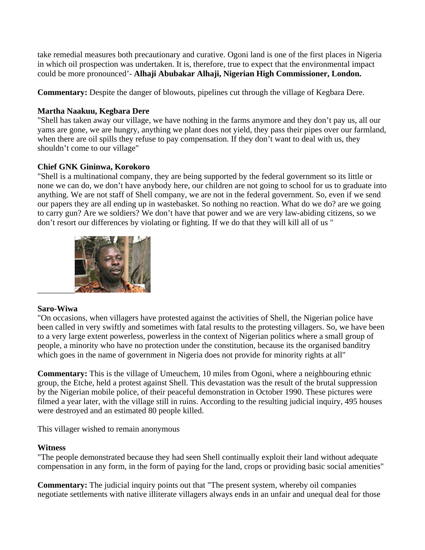take remedial measures both precautionary and curative. Ogoni land is one of the first places in Nigeria in which oil prospection was undertaken. It is, therefore, true to expect that the environmental impact could be more pronounced'- **Alhaji Abubakar Alhaji, Nigerian High Commissioner, London.**

**Commentary:** Despite the danger of blowouts, pipelines cut through the village of Kegbara Dere.

#### **Martha Naakuu, Kegbara Dere**

"Shell has taken away our village, we have nothing in the farms anymore and they don't pay us, all our yams are gone, we are hungry, anything we plant does not yield, they pass their pipes over our farmland, when there are oil spills they refuse to pay compensation. If they don't want to deal with us, they shouldn't come to our village"

# **Chief GNK Gininwa, Korokoro**

"Shell is a multinational company, they are being supported by the federal government so its little or none we can do, we don't have anybody here, our children are not going to school for us to graduate into anything. We are not staff of Shell company, we are not in the federal government. So, even if we send our papers they are all ending up in wastebasket. So nothing no reaction. What do we do? are we going to carry gun? Are we soldiers? We don't have that power and we are very law-abiding citizens, so we don't resort our differences by violating or fighting. If we do that they will kill all of us "



# **Saro-Wiwa**

"On occasions, when villagers have protested against the activities of Shell, the Nigerian police have been called in very swiftly and sometimes with fatal results to the protesting villagers. So, we have been to a very large extent powerless, powerless in the context of Nigerian politics where a small group of people, a minority who have no protection under the constitution, because its the organised banditry which goes in the name of government in Nigeria does not provide for minority rights at all"

**Commentary:** This is the village of Umeuchem, 10 miles from Ogoni, where a neighbouring ethnic group, the Etche, held a protest against Shell. This devastation was the result of the brutal suppression by the Nigerian mobile police, of their peaceful demonstration in October 1990. These pictures were filmed a year later, with the village still in ruins. According to the resulting judicial inquiry, 495 houses were destroyed and an estimated 80 people killed.

This villager wished to remain anonymous

#### **Witness**

"The people demonstrated because they had seen Shell continually exploit their land without adequate compensation in any form, in the form of paying for the land, crops or providing basic social amenities"

**Commentary:** The judicial inquiry points out that "The present system, whereby oil companies negotiate settlements with native illiterate villagers always ends in an unfair and unequal deal for those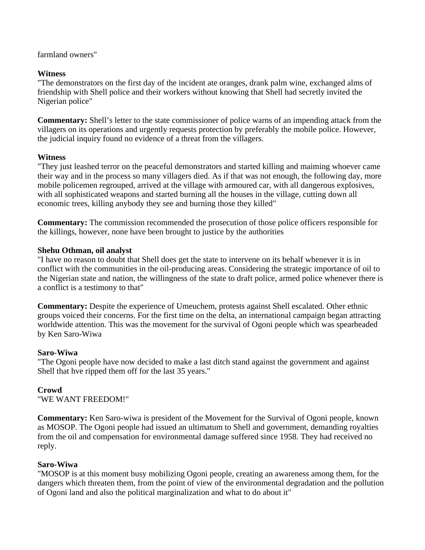farmland owners"

#### **Witness**

"The demonstrators on the first day of the incident ate oranges, drank palm wine, exchanged alms of friendship with Shell police and their workers without knowing that Shell had secretly invited the Nigerian police"

**Commentary:** Shell's letter to the state commissioner of police warns of an impending attack from the villagers on its operations and urgently requests protection by preferably the mobile police. However, the judicial inquiry found no evidence of a threat from the villagers.

# **Witness**

"They just leashed terror on the peaceful demonstrators and started killing and maiming whoever came their way and in the process so many villagers died. As if that was not enough, the following day, more mobile policemen regrouped, arrived at the village with armoured car, with all dangerous explosives, with all sophisticated weapons and started burning all the houses in the village, cutting down all economic trees, killing anybody they see and burning those they killed"

**Commentary:** The commission recommended the prosecution of those police officers responsible for the killings, however, none have been brought to justice by the authorities

# **Shehu Othman, oil analyst**

"I have no reason to doubt that Shell does get the state to intervene on its behalf whenever it is in conflict with the communities in the oil-producing areas. Considering the strategic importance of oil to the Nigerian state and nation, the willingness of the state to draft police, armed police whenever there is a conflict is a testimony to that"

**Commentary:** Despite the experience of Umeuchem, protests against Shell escalated. Other ethnic groups voiced their concerns. For the first time on the delta, an international campaign began attracting worldwide attention. This was the movement for the survival of Ogoni people which was spearheaded by Ken Saro-Wiwa

#### **Saro-Wiwa**

"The Ogoni people have now decided to make a last ditch stand against the government and against Shell that hve ripped them off for the last 35 years."

# **Crowd**

"WE WANT FREEDOM!"

**Commentary:** Ken Saro-wiwa is president of the Movement for the Survival of Ogoni people, known as MOSOP. The Ogoni people had issued an ultimatum to Shell and government, demanding royalties from the oil and compensation for environmental damage suffered since 1958. They had received no reply.

# **Saro-Wiwa**

"MOSOP is at this moment busy mobilizing Ogoni people, creating an awareness among them, for the dangers which threaten them, from the point of view of the environmental degradation and the pollution of Ogoni land and also the political marginalization and what to do about it"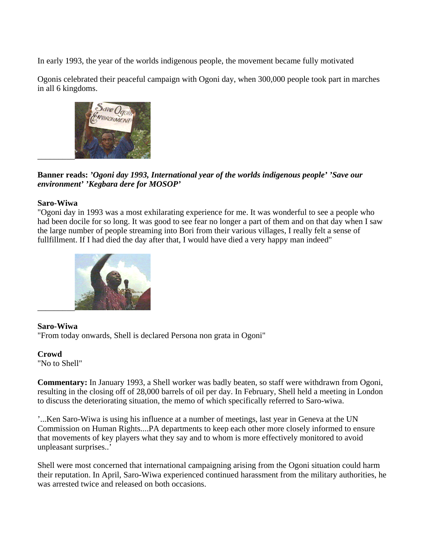In early 1993, the year of the worlds indigenous people, the movement became fully motivated

Ogonis celebrated their peaceful campaign with Ogoni day, when 300,000 people took part in marches in all 6 kingdoms.



**Banner reads:** *'Ogoni day 1993, International year of the worlds indigenous people' 'Save our environment' 'Kegbara dere for MOSOP'*

# **Saro-Wiwa**

"Ogoni day in 1993 was a most exhilarating experience for me. It was wonderful to see a people who had been docile for so long. It was good to see fear no longer a part of them and on that day when I saw the large number of people streaming into Bori from their various villages, I really felt a sense of fullfillment. If I had died the day after that, I would have died a very happy man indeed"



# **Saro-Wiwa**

"From today onwards, Shell is declared Persona non grata in Ogoni"

# **Crowd**

"No to Shell"

**Commentary:** In January 1993, a Shell worker was badly beaten, so staff were withdrawn from Ogoni, resulting in the closing off of 28,000 barrels of oil per day. In February, Shell held a meeting in London to discuss the deteriorating situation, the memo of which specifically referred to Saro-wiwa.

'...Ken Saro-Wiwa is using his influence at a number of meetings, last year in Geneva at the UN Commission on Human Rights....PA departments to keep each other more closely informed to ensure that movements of key players what they say and to whom is more effectively monitored to avoid unpleasant surprises..'

Shell were most concerned that international campaigning arising from the Ogoni situation could harm their reputation. In April, Saro-Wiwa experienced continued harassment from the military authorities, he was arrested twice and released on both occasions.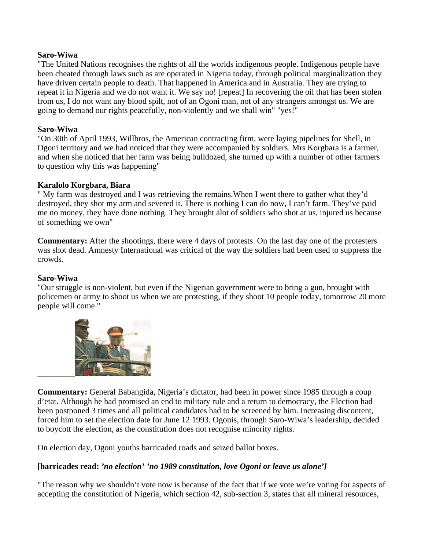#### **Saro-Wiwa**

"The United Nations recognises the rights of all the worlds indigenous people. Indigenous people have been cheated through laws such as are operated in Nigeria today, through political marginalization they have driven certain people to death. That happened in America and in Australia. They are trying to repeat it in Nigeria and we do not want it. We say no! [repeat] In recovering the oil that has been stolen from us, I do not want any blood spilt, not of an Ogoni man, not of any strangers amongst us. We are going to demand our rights peacefully, non-violently and we shall win" "yes!"

#### **Saro-Wiwa**

"On 30th of April 1993, Willbros, the American contracting firm, were laying pipelines for Shell, in Ogoni territory and we had noticed that they were accompanied by soldiers. Mrs Korgbara is a farmer, and when she noticed that her farm was being bulldozed, she turned up with a number of other farmers to question why this was happening"

#### **Karalolo Korgbara, Biara**

" My farm was destroyed and I was retrieving the remains.When I went there to gather what they'd destroyed, they shot my arm and severed it. There is nothing I can do now, I can't farm. They've paid me no money, they have done nothing. They brought alot of soldiers who shot at us, injured us because of something we own"

**Commentary:** After the shootings, there were 4 days of protests. On the last day one of the protesters was shot dead. Amnesty International was critical of the way the soldiers had been used to suppress the crowds.

#### **Saro-Wiwa**

"Our struggle is non-violent, but even if the Nigerian government were to bring a gun, brought with policemen or army to shoot us when we are protesting, if they shoot 10 people today, tomorrow 20 more people will come "



**Commentary:** General Babangida, Nigeria's dictator, had been in power since 1985 through a coup d'etat. Although he had promised an end to military rule and a return to democracy, the Election had been postponed 3 times and all political candidates had to be screened by him. Increasing discontent, forced him to set the election date for June 12 1993. Ogonis, through Saro-Wiwa's leadership, decided to boycott the election, as the constitution does not recognise minority rights.

On election day, Ogoni youths barricaded roads and seized ballot boxes.

#### **[barricades read:** *'no election' 'no 1989 constitution, love Ogoni or leave us alone']*

"The reason why we shouldn't vote now is because of the fact that if we vote we're voting for aspects of accepting the constitution of Nigeria, which section 42, sub-section 3, states that all mineral resources,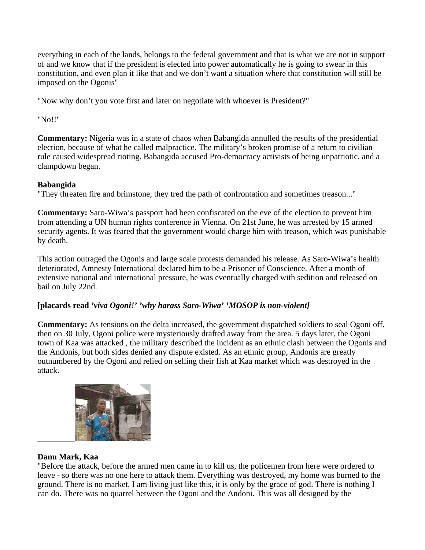everything in each of the lands, belongs to the federal government and that is what we are not in support of and we know that if the president is elected into power automatically he is going to swear in this constitution, and even plan it like that and we don't want a situation where that constitution will still be imposed on the Ogonis"

"Now why don't you vote first and later on negotiate with whoever is President?"

"No!!"

**Commentary:** Nigeria was in a state of chaos when Babangida annulled the results of the presidential election, because of what he called malpractice. The military's broken promise of a return to civilian rule caused widespread rioting. Babangida accused Pro-democracy activists of being unpatriotic, and a clampdown began.

# **Babangida**

"They threaten fire and brimstone, they tred the path of confrontation and sometimes treason..."

**Commentary:** Saro-Wiwa's passport had been confiscated on the eve of the election to prevent him from attending a UN human rights conference in Vienna. On 21st June, he was arrested by 15 armed security agents. It was feared that the government would charge him with treason, which was punishable by death.

This action outraged the Ogonis and large scale protests demanded his release. As Saro-Wiwa's health deteriorated, Amnesty International declared him to be a Prisoner of Conscience. After a month of extensive national and international pressure, he was eventually charged with sedition and released on bail on July 22nd.

# **[placards read** *'viva Ogoni!' 'why harass Saro-Wiwa' 'MOSOP is non-violent]*

**Commentary:** As tensions on the delta increased, the government dispatched soldiers to seal Ogoni off, then on 30 July, Ogoni police were mysteriously drafted away from the area. 5 days later, the Ogoni town of Kaa was attacked , the military described the incident as an ethnic clash between the Ogonis and the Andonis, but both sides denied any dispute existed. As an ethnic group, Andonis are greatly outnumbered by the Ogoni and relied on selling their fish at Kaa market which was destroyed in the attack.



# **Danu Mark, Kaa**

"Before the attack, before the armed men came in to kill us, the policemen from here were ordered to leave - so there was no one here to attack them. Everything was destroyed, my home was burned to the ground. There is no market, I am living just like this, it is only by the grace of god. There is nothing I can do. There was no quarrel between the Ogoni and the Andoni. This was all designed by the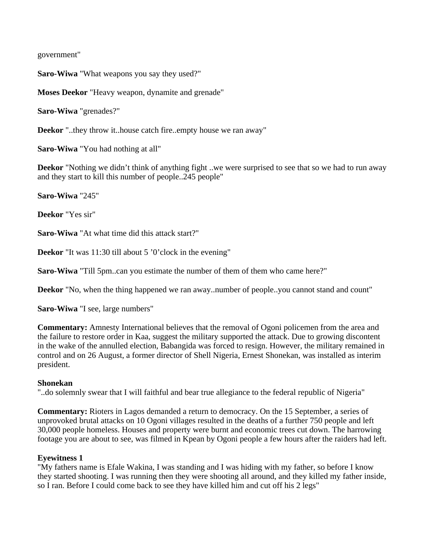government"

**Saro-Wiwa** "What weapons you say they used?"

**Moses Deekor** "Heavy weapon, dynamite and grenade"

**Saro-Wiwa** "grenades?"

**Deekor** "..they throw it..house catch fire..empty house we ran away"

**Saro-Wiwa** "You had nothing at all"

**Deekor** "Nothing we didn't think of anything fight ..we were surprised to see that so we had to run away and they start to kill this number of people..245 people"

**Saro-Wiwa** "245"

**Deekor** "Yes sir"

**Saro-Wiwa** "At what time did this attack start?"

**Deekor** "It was 11:30 till about 5 '0'clock in the evening"

**Saro-Wiwa** "Till 5pm..can you estimate the number of them of them who came here?"

**Deekor** "No, when the thing happened we ran away..number of people..you cannot stand and count"

**Saro-Wiwa** "I see, large numbers"

**Commentary:** Amnesty International believes that the removal of Ogoni policemen from the area and the failure to restore order in Kaa, suggest the military supported the attack. Due to growing discontent in the wake of the annulled election, Babangida was forced to resign. However, the military remained in control and on 26 August, a former director of Shell Nigeria, Ernest Shonekan, was installed as interim president.

#### **Shonekan**

"..do solemnly swear that I will faithful and bear true allegiance to the federal republic of Nigeria"

**Commentary:** Rioters in Lagos demanded a return to democracy. On the 15 September, a series of unprovoked brutal attacks on 10 Ogoni villages resulted in the deaths of a further 750 people and left 30,000 people homeless. Houses and property were burnt and economic trees cut down. The harrowing footage you are about to see, was filmed in Kpean by Ogoni people a few hours after the raiders had left.

#### **Eyewitness 1**

"My fathers name is Efale Wakina, I was standing and I was hiding with my father, so before I know they started shooting. I was running then they were shooting all around, and they killed my father inside, so I ran. Before I could come back to see they have killed him and cut off his 2 legs"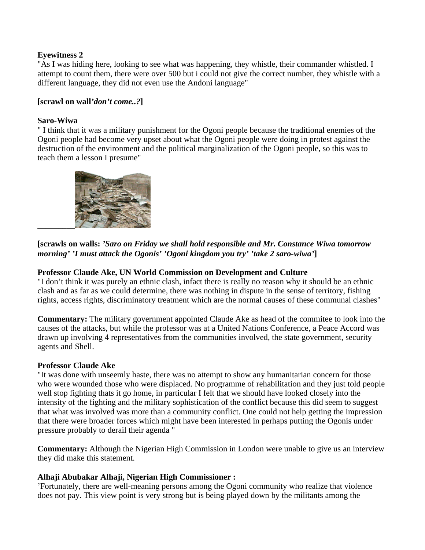# **Eyewitness 2**

"As I was hiding here, looking to see what was happening, they whistle, their commander whistled. I attempt to count them, there were over 500 but i could not give the correct number, they whistle with a different language, they did not even use the Andoni language"

# **[scrawl on wall***'don't come..?***]**

#### **Saro-Wiwa**

" I think that it was a military punishment for the Ogoni people because the traditional enemies of the Ogoni people had become very upset about what the Ogoni people were doing in protest against the destruction of the environment and the political marginalization of the Ogoni people, so this was to teach them a lesson I presume"



# **[scrawls on walls:** *'Saro on Friday we shall hold responsible and Mr. Constance Wiwa tomorrow morning' 'I must attack the Ogonis' 'Ogoni kingdom you try' 'take 2 saro-wiwa'***]**

# **Professor Claude Ake, UN World Commission on Development and Culture**

"I don't think it was purely an ethnic clash, infact there is really no reason why it should be an ethnic clash and as far as we could determine, there was nothing in dispute in the sense of territory, fishing rights, access rights, discriminatory treatment which are the normal causes of these communal clashes"

**Commentary:** The military government appointed Claude Ake as head of the commitee to look into the causes of the attacks, but while the professor was at a United Nations Conference, a Peace Accord was drawn up involving 4 representatives from the communities involved, the state government, security agents and Shell.

#### **Professor Claude Ake**

"It was done with unseemly haste, there was no attempt to show any humanitarian concern for those who were wounded those who were displaced. No programme of rehabilitation and they just told people well stop fighting thats it go home, in particular I felt that we should have looked closely into the intensity of the fighting and the military sophistication of the conflict because this did seem to suggest that what was involved was more than a community conflict. One could not help getting the impression that there were broader forces which might have been interested in perhaps putting the Ogonis under pressure probably to derail their agenda "

**Commentary:** Although the Nigerian High Commission in London were unable to give us an interview they did make this statement.

#### **Alhaji Abubakar Alhaji, Nigerian High Commissioner :**

'Fortunately, there are well-meaning persons among the Ogoni community who realize that violence does not pay. This view point is very strong but is being played down by the militants among the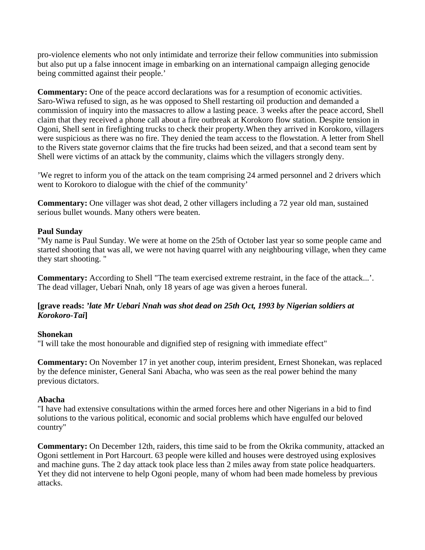pro-violence elements who not only intimidate and terrorize their fellow communities into submission but also put up a false innocent image in embarking on an international campaign alleging genocide being committed against their people.'

**Commentary:** One of the peace accord declarations was for a resumption of economic activities. Saro-Wiwa refused to sign, as he was opposed to Shell restarting oil production and demanded a commission of inquiry into the massacres to allow a lasting peace. 3 weeks after the peace accord, Shell claim that they received a phone call about a fire outbreak at Korokoro flow station. Despite tension in Ogoni, Shell sent in firefighting trucks to check their property.When they arrived in Korokoro, villagers were suspicious as there was no fire. They denied the team access to the flowstation. A letter from Shell to the Rivers state governor claims that the fire trucks had been seized, and that a second team sent by Shell were victims of an attack by the community, claims which the villagers strongly deny.

'We regret to inform you of the attack on the team comprising 24 armed personnel and 2 drivers which went to Korokoro to dialogue with the chief of the community'

**Commentary:** One villager was shot dead, 2 other villagers including a 72 year old man, sustained serious bullet wounds. Many others were beaten.

#### **Paul Sunday**

"My name is Paul Sunday. We were at home on the 25th of October last year so some people came and started shooting that was all, we were not having quarrel with any neighbouring village, when they came they start shooting. "

**Commentary:** According to Shell "The team exercised extreme restraint, in the face of the attack...'. The dead villager, Uebari Nnah, only 18 years of age was given a heroes funeral.

# **[grave reads:** *'late Mr Uebari Nnah was shot dead on 25th Oct, 1993 by Nigerian soldiers at Korokoro-Tai***]**

#### **Shonekan**

"I will take the most honourable and dignified step of resigning with immediate effect"

**Commentary:** On November 17 in yet another coup, interim president, Ernest Shonekan, was replaced by the defence minister, General Sani Abacha, who was seen as the real power behind the many previous dictators.

#### **Abacha**

"I have had extensive consultations within the armed forces here and other Nigerians in a bid to find solutions to the various political, economic and social problems which have engulfed our beloved country"

**Commentary:** On December 12th, raiders, this time said to be from the Okrika community, attacked an Ogoni settlement in Port Harcourt. 63 people were killed and houses were destroyed using explosives and machine guns. The 2 day attack took place less than 2 miles away from state police headquarters. Yet they did not intervene to help Ogoni people, many of whom had been made homeless by previous attacks.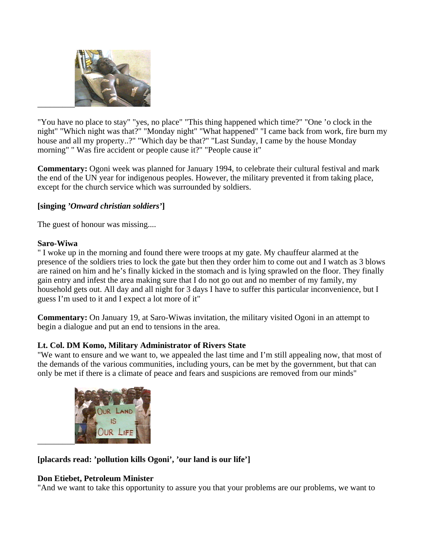

"You have no place to stay" "yes, no place" "This thing happened which time?" "One 'o clock in the night" "Which night was that?" "Monday night" "What happened" "I came back from work, fire burn my house and all my property..?" "Which day be that?" "Last Sunday, I came by the house Monday morning" " Was fire accident or people cause it?" "People cause it"

**Commentary:** Ogoni week was planned for January 1994, to celebrate their cultural festival and mark the end of the UN year for indigenous peoples. However, the military prevented it from taking place, except for the church service which was surrounded by soldiers.

# **[singing** *'Onward christian soldiers'***]**

The guest of honour was missing....

# **Saro-Wiwa**

" I woke up in the morning and found there were troops at my gate. My chauffeur alarmed at the presence of the soldiers tries to lock the gate but then they order him to come out and I watch as 3 blows are rained on him and he's finally kicked in the stomach and is lying sprawled on the floor. They finally gain entry and infest the area making sure that I do not go out and no member of my family, my household gets out. All day and all night for 3 days I have to suffer this particular inconvenience, but I guess I'm used to it and I expect a lot more of it"

**Commentary:** On January 19, at Saro-Wiwas invitation, the military visited Ogoni in an attempt to begin a dialogue and put an end to tensions in the area.

# **Lt. Col. DM Komo, Military Administrator of Rivers State**

"We want to ensure and we want to, we appealed the last time and I'm still appealing now, that most of the demands of the various communities, including yours, can be met by the government, but that can only be met if there is a climate of peace and fears and suspicions are removed from our minds"



# **[placards read: 'pollution kills Ogoni', 'our land is our life']**

# **Don Etiebet, Petroleum Minister**

"And we want to take this opportunity to assure you that your problems are our problems, we want to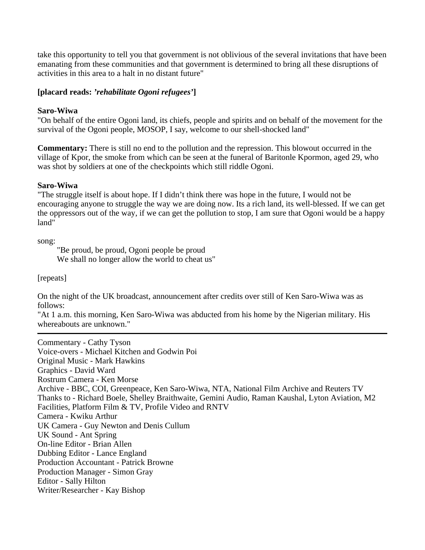take this opportunity to tell you that government is not oblivious of the several invitations that have been emanating from these communities and that government is determined to bring all these disruptions of activities in this area to a halt in no distant future"

# **[placard reads:** *'rehabilitate Ogoni refugees'***]**

#### **Saro-Wiwa**

"On behalf of the entire Ogoni land, its chiefs, people and spirits and on behalf of the movement for the survival of the Ogoni people, MOSOP, I say, welcome to our shell-shocked land"

**Commentary:** There is still no end to the pollution and the repression. This blowout occurred in the village of Kpor, the smoke from which can be seen at the funeral of Baritonle Kpormon, aged 29, who was shot by soldiers at one of the checkpoints which still riddle Ogoni.

#### **Saro-Wiwa**

"The struggle itself is about hope. If I didn't think there was hope in the future, I would not be encouraging anyone to struggle the way we are doing now. Its a rich land, its well-blessed. If we can get the oppressors out of the way, if we can get the pollution to stop, I am sure that Ogoni would be a happy land"

song:

"Be proud, be proud, Ogoni people be proud We shall no longer allow the world to cheat us"

[repeats]

On the night of the UK broadcast, announcement after credits over still of Ken Saro-Wiwa was as follows:

"At 1 a.m. this morning, Ken Saro-Wiwa was abducted from his home by the Nigerian military. His whereabouts are unknown."

Commentary - Cathy Tyson Voice-overs - Michael Kitchen and Godwin Poi Original Music - Mark Hawkins Graphics - David Ward Rostrum Camera - Ken Morse Archive - BBC, COI, Greenpeace, Ken Saro-Wiwa, NTA, National Film Archive and Reuters TV Thanks to - Richard Boele, Shelley Braithwaite, Gemini Audio, Raman Kaushal, Lyton Aviation, M2 Facilities, Platform Film & TV, Profile Video and RNTV Camera - Kwiku Arthur UK Camera - Guy Newton and Denis Cullum UK Sound - Ant Spring On-line Editor - Brian Allen Dubbing Editor - Lance England Production Accountant - Patrick Browne Production Manager - Simon Gray Editor - Sally Hilton Writer/Researcher - Kay Bishop